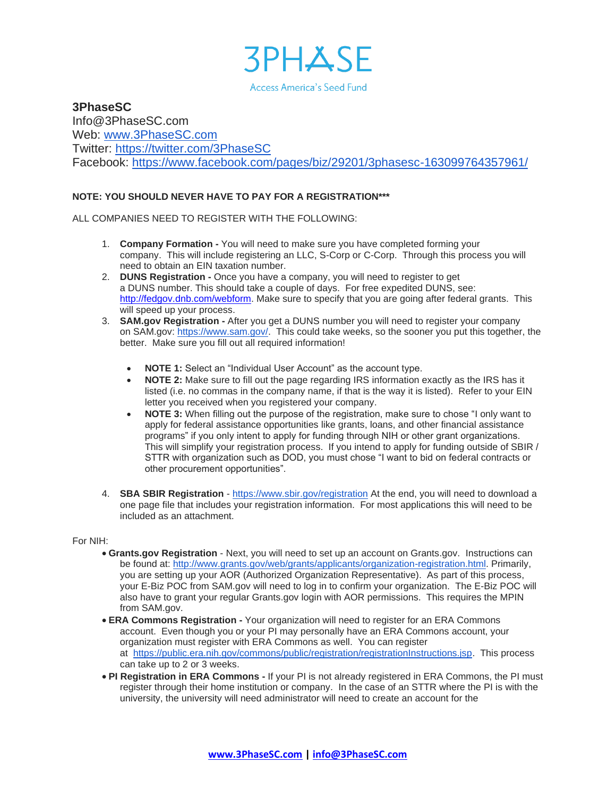

**3PhaseSC** Info@3PhaseSC.com Web: [www.3PhaseSC.com](http://www.3phasesc.com/) Twitter: <https://twitter.com/3PhaseSC> Facebook: <https://www.facebook.com/pages/biz/29201/3phasesc-163099764357961/>

## **NOTE: YOU SHOULD NEVER HAVE TO PAY FOR A REGISTRATION\*\*\***

ALL COMPANIES NEED TO REGISTER WITH THE FOLLOWING:

- 1. **Company Formation -** You will need to make sure you have completed forming your company. This will include registering an LLC, S-Corp or C-Corp. Through this process you will need to obtain an EIN taxation number.
- 2. **DUNS Registration -** Once you have a company, you will need to register to get a DUNS number. This should take a couple of days. For free expedited DUNS, see: [http://fedgov.dnb.com/webform.](http://fedgov.dnb.com/webform) Make sure to specify that you are going after federal grants. This will speed up your process.
- 3. **SAM.gov Registration -** After you get a DUNS number you will need to register your company on SAM.gov: [https://www.sam.gov/.](https://www.sam.gov/) This could take weeks, so the sooner you put this together, the better. Make sure you fill out all required information!
	- **NOTE 1:** Select an "Individual User Account" as the account type.
	- **NOTE 2:** Make sure to fill out the page regarding IRS information exactly as the IRS has it listed (i.e. no commas in the company name, if that is the way it is listed). Refer to your EIN letter you received when you registered your company.
	- **NOTE 3:** When filling out the purpose of the registration, make sure to chose "I only want to apply for federal assistance opportunities like grants, loans, and other financial assistance programs" if you only intent to apply for funding through NIH or other grant organizations. This will simplify your registration process. If you intend to apply for funding outside of SBIR / STTR with organization such as DOD, you must chose "I want to bid on federal contracts or other procurement opportunities".
- 4. **SBA SBIR Registration** <https://www.sbir.gov/registration> At the end, you will need to download a one page file that includes your registration information. For most applications this will need to be included as an attachment.

### For NIH:

- **Grants.gov Registration** Next, you will need to set up an account on Grants.gov. Instructions can be found at: [http://www.grants.gov/web/grants/applicants/organization-registration.html.](http://www.grants.gov/web/grants/applicants/organization-registration.html) Primarily, you are setting up your AOR (Authorized Organization Representative). As part of this process, your E-Biz POC from SAM.gov will need to log in to confirm your organization. The E-Biz POC will also have to grant your regular Grants.gov login with AOR permissions. This requires the MPIN from SAM.gov.
- **ERA Commons Registration -** Your organization will need to register for an ERA Commons account. Even though you or your PI may personally have an ERA Commons account, your organization must register with ERA Commons as well. You can register at [https://public.era.nih.gov/commons/public/registration/registrationInstructions.jsp.](https://public.era.nih.gov/commons/public/registration/registrationInstructions.jsp) This process can take up to 2 or 3 weeks.
- **PI Registration in ERA Commons -** If your PI is not already registered in ERA Commons, the PI must register through their home institution or company. In the case of an STTR where the PI is with the university, the university will need administrator will need to create an account for the